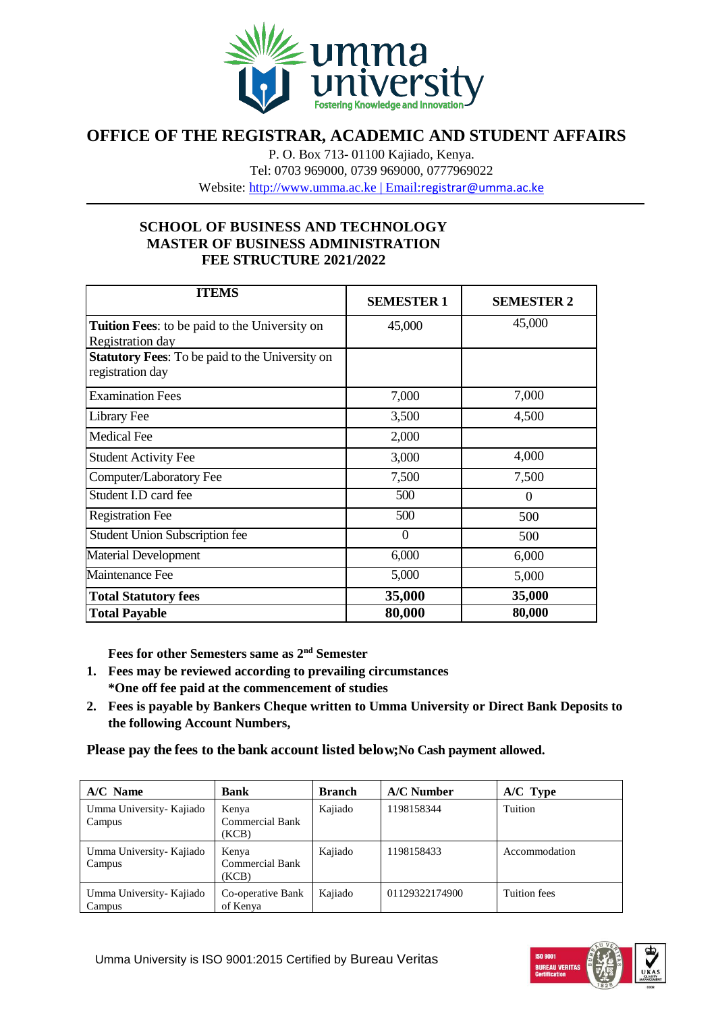

## **OFFICE OF THE REGISTRAR, ACADEMIC AND STUDENT AFFAIRS**

P. O. Box 713- 01100 Kajiado, Kenya. Tel: 0703 969000, 0739 969000, 0777969022

Website: [http://www.umma.ac.ke](http://www.umma.ac.ke/) | Email:[registrar@umma.ac.ke](mailto:registrar@umma.ac.ke)

## **SCHOOL OF BUSINESS AND TECHNOLOGY MASTER OF BUSINESS ADMINISTRATION FEE STRUCTURE 2021/2022**

| <b>ITEMS</b>                                                               | <b>SEMESTER 1</b> | <b>SEMESTER 2</b> |
|----------------------------------------------------------------------------|-------------------|-------------------|
| <b>Tuition Fees:</b> to be paid to the University on<br>Registration day   | 45,000            | 45,000            |
| <b>Statutory Fees:</b> To be paid to the University on<br>registration day |                   |                   |
| <b>Examination Fees</b>                                                    | 7,000             | 7,000             |
| Library Fee                                                                | 3,500             | 4,500             |
| <b>Medical Fee</b>                                                         | 2,000             |                   |
| <b>Student Activity Fee</b>                                                | 3,000             | 4,000             |
| Computer/Laboratory Fee                                                    | 7,500             | 7,500             |
| Student I.D card fee                                                       | 500               | $\Omega$          |
| <b>Registration Fee</b>                                                    | 500               | 500               |
| <b>Student Union Subscription fee</b>                                      | $\Omega$          | 500               |
| <b>Material Development</b>                                                | 6,000             | 6,000             |
| <b>Maintenance Fee</b>                                                     | 5,000             | 5,000             |
| <b>Total Statutory fees</b>                                                | 35,000            | 35,000            |
| <b>Total Payable</b>                                                       | 80,000            | 80,000            |

**Fees for other Semesters same as 2nd Semester**

- **1. Fees may be reviewed according to prevailing circumstances \*One off fee paid at the commencement of studies**
- **2. Fees is payable by Bankers Cheque written to Umma University or Direct Bank Deposits to the following Account Numbers,**

**Please pay the fees to the bank account listed below;No Cash payment allowed.**

| $A/C$ Name                         | <b>Bank</b>                              | <b>Branch</b> | $A/C$ Number   | $A/C$ Type    |
|------------------------------------|------------------------------------------|---------------|----------------|---------------|
| Umma University- Kajiado<br>Campus | Kenya<br><b>Commercial Bank</b><br>(KCB) | Kajiado       | 1198158344     | Tuition       |
| Umma University- Kajiado<br>Campus | Kenya<br><b>Commercial Bank</b><br>(KCB) | Kajiado       | 1198158433     | Accommodation |
| Umma University- Kajiado<br>Campus | Co-operative Bank<br>of Kenya            | Kajiado       | 01129322174900 | Tuition fees  |